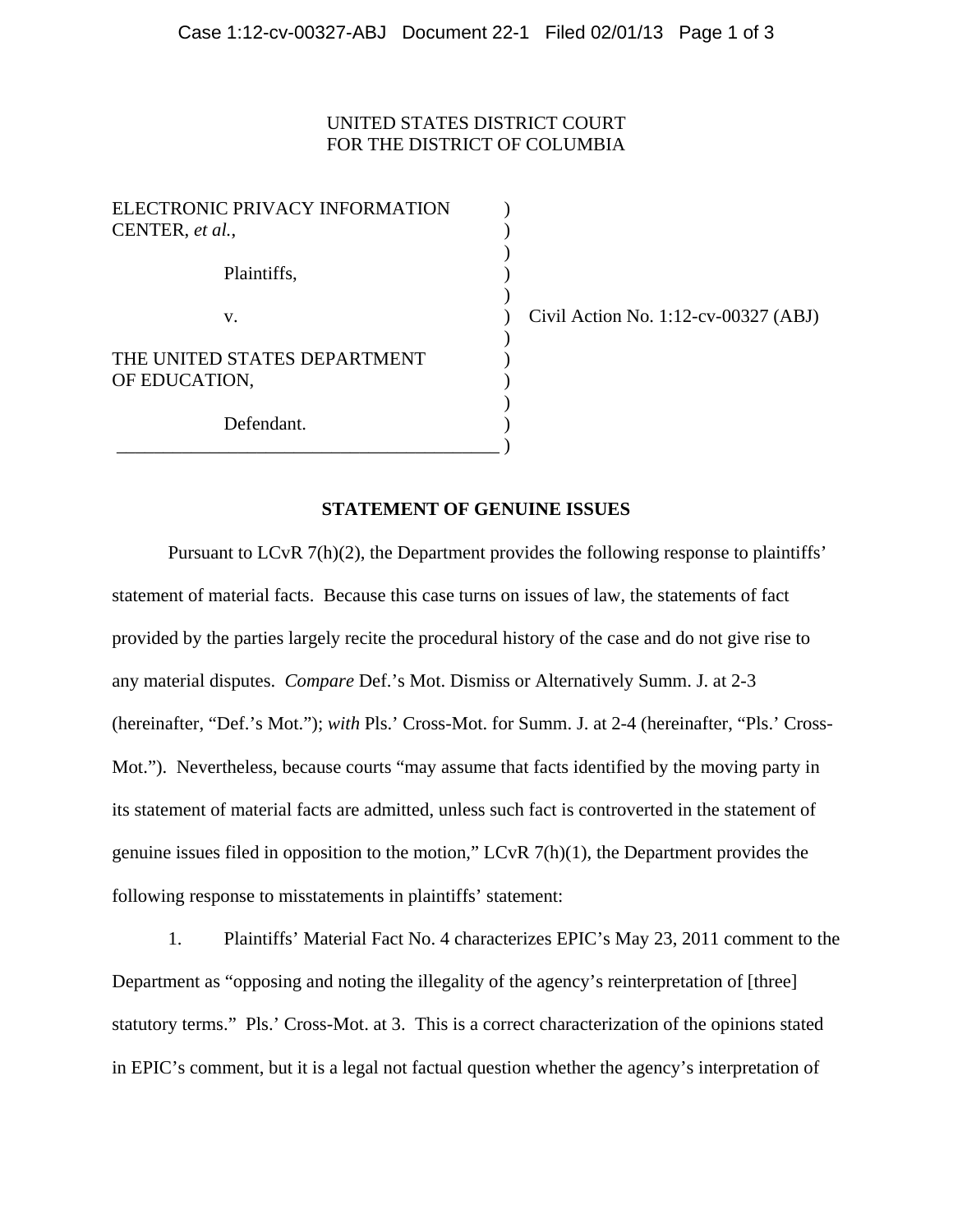## UNITED STATES DISTRICT COURT FOR THE DISTRICT OF COLUMBIA

| ELECTRONIC PRIVACY INFORMATION<br>CENTER, et al., |  |
|---------------------------------------------------|--|
| Plaintiffs,                                       |  |
| V.                                                |  |
| THE UNITED STATES DEPARTMENT<br>OF EDUCATION,     |  |
| Defendant.                                        |  |

 $\vee$  Civil Action No. 1:12-cv-00327 (ABJ)

## **STATEMENT OF GENUINE ISSUES**

Pursuant to LCvR 7(h)(2), the Department provides the following response to plaintiffs' statement of material facts. Because this case turns on issues of law, the statements of fact provided by the parties largely recite the procedural history of the case and do not give rise to any material disputes. *Compare* Def.'s Mot. Dismiss or Alternatively Summ. J. at 2-3 (hereinafter, "Def.'s Mot."); *with* Pls.' Cross-Mot. for Summ. J. at 2-4 (hereinafter, "Pls.' Cross-Mot."). Nevertheless, because courts "may assume that facts identified by the moving party in its statement of material facts are admitted, unless such fact is controverted in the statement of genuine issues filed in opposition to the motion," LCvR 7(h)(1), the Department provides the following response to misstatements in plaintiffs' statement:

1. Plaintiffs' Material Fact No. 4 characterizes EPIC's May 23, 2011 comment to the Department as "opposing and noting the illegality of the agency's reinterpretation of [three] statutory terms." Pls.' Cross-Mot. at 3. This is a correct characterization of the opinions stated in EPIC's comment, but it is a legal not factual question whether the agency's interpretation of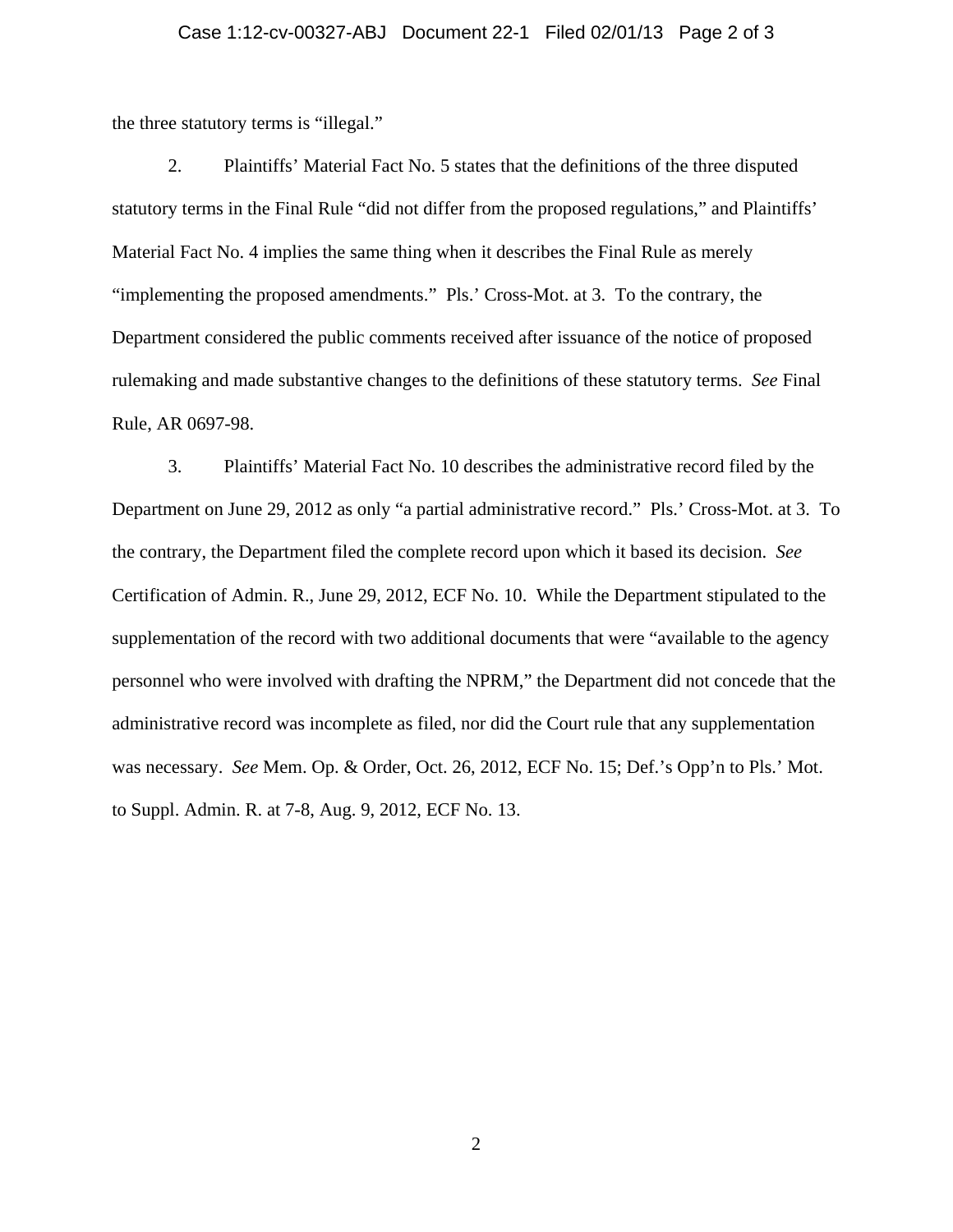## Case 1:12-cv-00327-ABJ Document 22-1 Filed 02/01/13 Page 2 of 3

the three statutory terms is "illegal."

2. Plaintiffs' Material Fact No. 5 states that the definitions of the three disputed statutory terms in the Final Rule "did not differ from the proposed regulations," and Plaintiffs' Material Fact No. 4 implies the same thing when it describes the Final Rule as merely "implementing the proposed amendments." Pls.' Cross-Mot. at 3. To the contrary, the Department considered the public comments received after issuance of the notice of proposed rulemaking and made substantive changes to the definitions of these statutory terms. *See* Final Rule, AR 0697-98.

3. Plaintiffs' Material Fact No. 10 describes the administrative record filed by the Department on June 29, 2012 as only "a partial administrative record." Pls.' Cross-Mot. at 3. To the contrary, the Department filed the complete record upon which it based its decision. *See* Certification of Admin. R., June 29, 2012, ECF No. 10. While the Department stipulated to the supplementation of the record with two additional documents that were "available to the agency personnel who were involved with drafting the NPRM," the Department did not concede that the administrative record was incomplete as filed, nor did the Court rule that any supplementation was necessary. *See* Mem. Op. & Order, Oct. 26, 2012, ECF No. 15; Def.'s Opp'n to Pls.' Mot. to Suppl. Admin. R. at 7-8, Aug. 9, 2012, ECF No. 13.

2